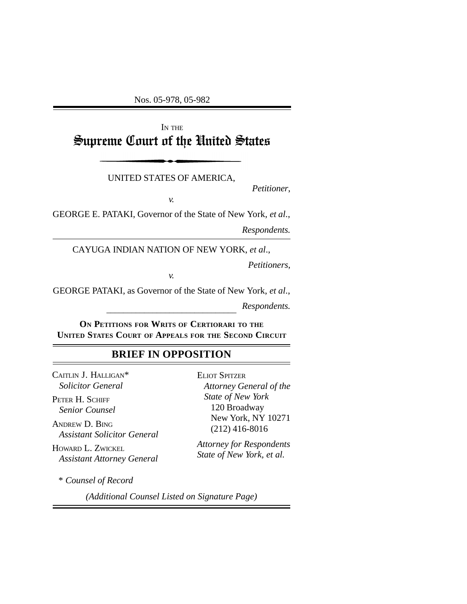Nos. 05-978, 05-982

# IN THE Supreme Court of the United States

UNITED STATES OF AMERICA,

*Petitioner*,

*v.*

GEORGE E. PATAKI, Governor of the State of New York, *et al*.,

*Respondents.*

CAYUGA INDIAN NATION OF NEW YORK, *et al*.,

*Petitioners*,

\_\_\_\_\_\_\_\_\_\_\_\_\_\_\_\_\_\_\_\_\_\_\_\_\_\_\_\_\_\_\_ GEORGE PATAKI, as Governor of the State of New York, *et al*., *Respondents.*

*v.*

**ON PETITIONS FOR WRITS OF CERTIORARI TO THE UNITED STATES COURT OF APPEALS FOR THE SECOND CIRCUIT**

### **BRIEF IN OPPOSITION**

CAITLIN J. HALLIGAN\* *Solicitor General*

PETER H. SCHIFF *Senior Counsel*

ANDREW D. BING *Assistant Solicitor General*

HOWARD L. ZWICKEL *Assistant Attorney General*

\* *Counsel of Record*

ELIOT SPITZER *Attorney General of the State of New York* 120 Broadway New York, NY 10271 (212) 416-8016

*Attorney for Respondents State of New York, et al.*

*(Additional Counsel Listed on Signature Page)*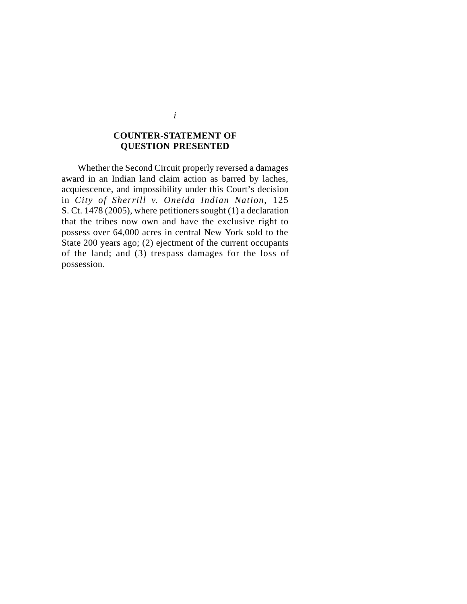### **COUNTER-STATEMENT OF QUESTION PRESENTED**

Whether the Second Circuit properly reversed a damages award in an Indian land claim action as barred by laches, acquiescence, and impossibility under this Court's decision in *City of Sherrill v. Oneida Indian Nation*, 125 S. Ct. 1478 (2005), where petitioners sought (1) a declaration that the tribes now own and have the exclusive right to possess over 64,000 acres in central New York sold to the State 200 years ago; (2) ejectment of the current occupants of the land; and (3) trespass damages for the loss of possession.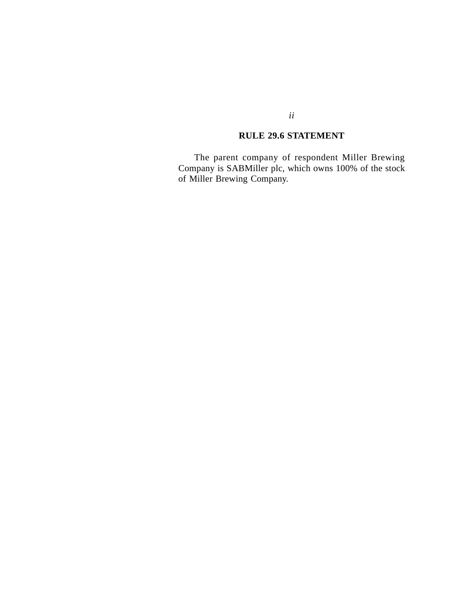## **RULE 29.6 STATEMENT**

The parent company of respondent Miller Brewing Company is SABMiller plc, which owns 100% of the stock of Miller Brewing Company.

### *ii*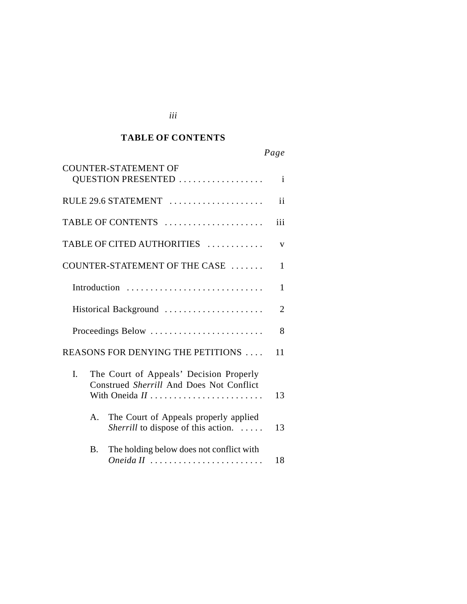#### *Cited Authorities* **TABLE OF CONTENTS**

*iii*

# *Page*

|                       | <b>COUNTER-STATEMENT OF</b><br>QUESTION PRESENTED                                                           | $\mathbf{i}$ |
|-----------------------|-------------------------------------------------------------------------------------------------------------|--------------|
|                       | RULE 29.6 STATEMENT                                                                                         | ii           |
|                       | TABLE OF CONTENTS                                                                                           | iii          |
|                       | TABLE OF CITED AUTHORITIES                                                                                  | V            |
|                       | COUNTER-STATEMENT OF THE CASE                                                                               | 1            |
|                       | Introduction                                                                                                | $\mathbf{1}$ |
| Historical Background |                                                                                                             | 2            |
|                       | Proceedings Below                                                                                           | 8            |
|                       | REASONS FOR DENYING THE PETITIONS<br>11                                                                     |              |
| I.                    | The Court of Appeals' Decision Properly<br>Construed Sherrill And Does Not Conflict<br>With Oneida II<br>13 |              |
| $\mathsf{A}$ .        | The Court of Appeals properly applied<br>Sherrill to dispose of this action.<br>13                          |              |
| B.                    | The holding below does not conflict with<br>Oneida II                                                       | 18           |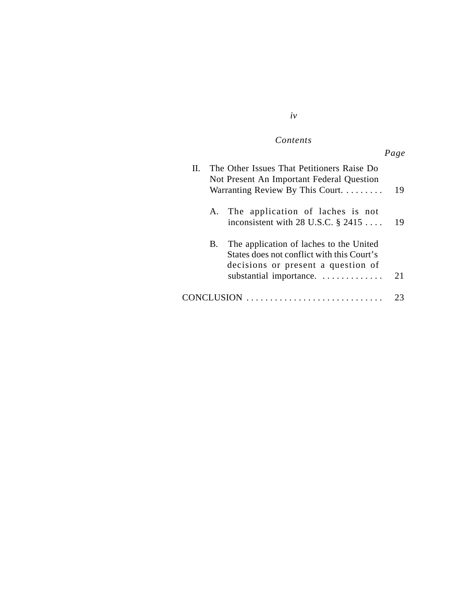### $Contents$

|                                                                                                                                                              | Page |
|--------------------------------------------------------------------------------------------------------------------------------------------------------------|------|
| The Other Issues That Petitioners Raise Do<br>Н.<br>Not Present An Important Federal Question<br>Warranting Review By This Court.                            | 19   |
| A. The application of laches is not<br>inconsistent with 28 U.S.C. $\S$ 2415                                                                                 | 19   |
| The application of laches to the United<br>В.<br>States does not conflict with this Court's<br>decisions or present a question of<br>substantial importance. | 21   |
| CONCLUSION                                                                                                                                                   | 23   |

### *iv*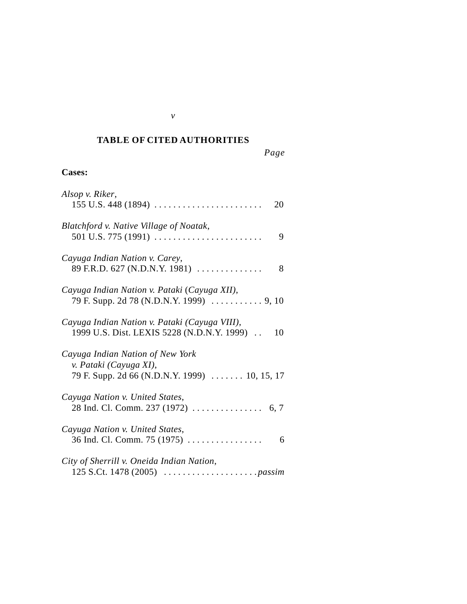### *Cited Authorities* **TABLE OF CITED AUTHORITIES**

*Page*

## **Cases:**

| Alsop v. Riker,<br>$155$ U.S. 448 (1894)<br>20                                                                         |
|------------------------------------------------------------------------------------------------------------------------|
| Blatchford v. Native Village of Noatak,<br>501 U.S. 775 (1991) $\ldots \ldots \ldots \ldots \ldots \ldots \ldots$<br>9 |
| Cayuga Indian Nation v. Carey,<br>89 F.R.D. 627 (N.D.N.Y. 1981)<br>8                                                   |
| Cayuga Indian Nation v. Pataki (Cayuga XII),                                                                           |
| Cayuga Indian Nation v. Pataki (Cayuga VIII),<br>1999 U.S. Dist. LEXIS 5228 (N.D.N.Y. 1999).<br>10                     |
| Cayuga Indian Nation of New York<br>v. Pataki (Cayuga XI),<br>79 F. Supp. 2d 66 (N.D.N.Y. 1999)  10, 15, 17            |
| Cayuga Nation v. United States,                                                                                        |
| Cayuga Nation v. United States,<br>36 Ind. Cl. Comm. 75 (1975) $\ldots$<br>6                                           |
| City of Sherrill v. Oneida Indian Nation,                                                                              |

*v*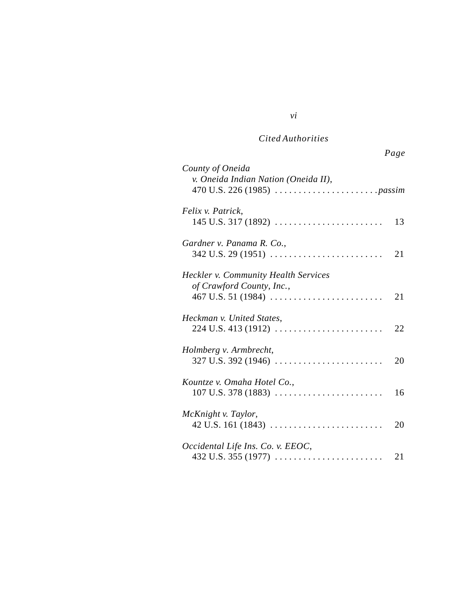# *Cited Authorities*

*vi*

| County of Oneida<br>v. Oneida Indian Nation (Oneida II),                                                           |    |
|--------------------------------------------------------------------------------------------------------------------|----|
| Felix v. Patrick,                                                                                                  | 13 |
| Gardner v. Panama R. Co.,<br>$342$ U.S. 29 (1951)                                                                  | 21 |
| <b>Heckler v. Community Health Services</b><br>of Crawford County, Inc.,                                           | 21 |
| Heckman v. United States,<br>$224$ U.S. 413 (1912)                                                                 | 22 |
| Holmberg v. Armbrecht,<br>$327$ U.S. 392 (1946)                                                                    | 20 |
| Kountze v. Omaha Hotel Co.,<br>$107$ U.S. 378 (1883)                                                               | 16 |
| McKnight v. Taylor,<br>$42 \text{ U.S. } 161 \text{ (1843)} \dots \dots \dots \dots \dots \dots \dots \dots \dots$ | 20 |
| Occidental Life Ins. Co. v. EEOC,<br>$432$ U.S. $355$ (1977)                                                       | 21 |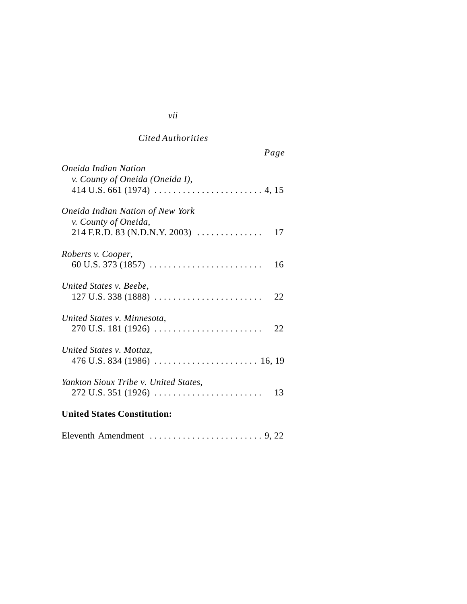# *Cited Authorities*

|                                                                 | Page |
|-----------------------------------------------------------------|------|
| Oneida Indian Nation<br>v. County of Oneida (Oneida I),         |      |
| <b>Oneida Indian Nation of New York</b><br>v. County of Oneida, |      |
| 214 F.R.D. 83 (N.D.N.Y. 2003)                                   | 17   |
| Roberts v. Cooper,                                              | 16   |
| United States v. Beebe,                                         | 22   |
| United States v. Minnesota,                                     |      |
| United States v. Mottaz,                                        |      |
| Yankton Sioux Tribe v. United States,                           | 13   |
| <b>United States Constitution:</b>                              |      |

|--|--|--|

# *vii*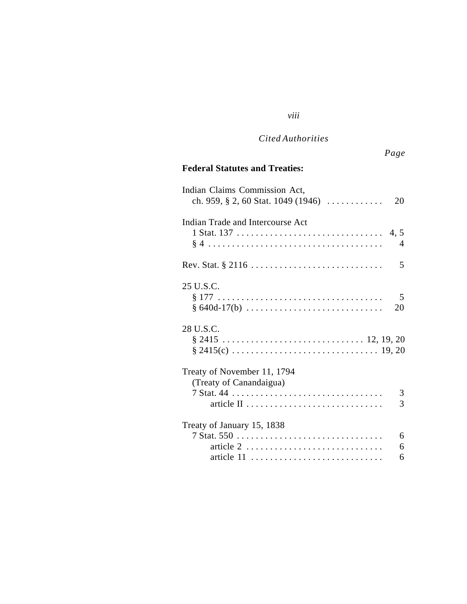### *Cited Authorities*

*viii*

# **Federal Statutes and Treaties:**

| Indian Claims Commission Act,<br>ch. 959, $\S$ 2, 60 Stat. 1049 (1946)                    | 20             |
|-------------------------------------------------------------------------------------------|----------------|
| Indian Trade and Intercourse Act                                                          |                |
|                                                                                           |                |
|                                                                                           | $\overline{4}$ |
|                                                                                           | 5              |
| 25 U.S.C.                                                                                 |                |
|                                                                                           | 5              |
| $§ 640d-17(b) \ldots \ldots \ldots \ldots \ldots \ldots \ldots \ldots$                    | 20             |
| 28 U.S.C.                                                                                 |                |
| $§ 2415 \ldots \ldots \ldots \ldots \ldots \ldots \ldots \ldots \ldots \ldots 12, 19, 20$ |                |
|                                                                                           |                |
| Treaty of November 11, 1794                                                               |                |
| (Treaty of Canandaigua)                                                                   |                |
|                                                                                           | 3              |
|                                                                                           | 3              |
| Treaty of January 15, 1838                                                                |                |
|                                                                                           | 6              |
|                                                                                           | 6              |
|                                                                                           | 6              |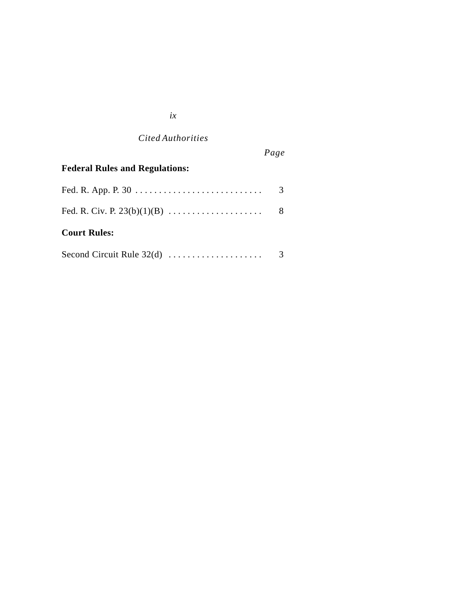### *ix*

*Cited Authorities*

# *Page*

| <b>Federal Rules and Regulations:</b> |  |
|---------------------------------------|--|
|                                       |  |
|                                       |  |
| <b>Court Rules:</b>                   |  |
| Second Circuit Rule $32(d)$           |  |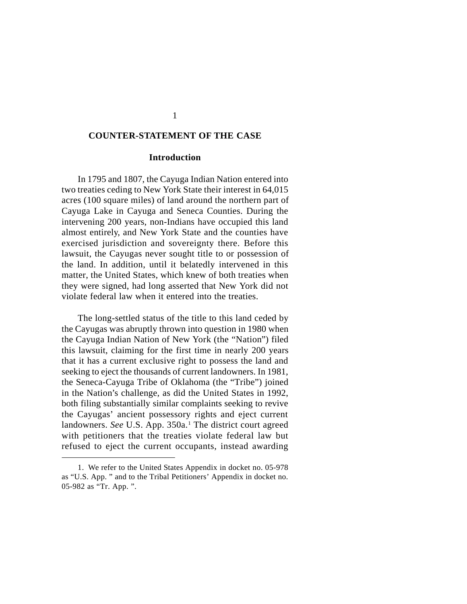#### **COUNTER-STATEMENT OF THE CASE**

#### **Introduction**

In 1795 and 1807, the Cayuga Indian Nation entered into two treaties ceding to New York State their interest in 64,015 acres (100 square miles) of land around the northern part of Cayuga Lake in Cayuga and Seneca Counties. During the intervening 200 years, non-Indians have occupied this land almost entirely, and New York State and the counties have exercised jurisdiction and sovereignty there. Before this lawsuit, the Cayugas never sought title to or possession of the land. In addition, until it belatedly intervened in this matter, the United States, which knew of both treaties when they were signed, had long asserted that New York did not violate federal law when it entered into the treaties.

The long-settled status of the title to this land ceded by the Cayugas was abruptly thrown into question in 1980 when the Cayuga Indian Nation of New York (the "Nation") filed this lawsuit, claiming for the first time in nearly 200 years that it has a current exclusive right to possess the land and seeking to eject the thousands of current landowners. In 1981, the Seneca-Cayuga Tribe of Oklahoma (the "Tribe") joined in the Nation's challenge, as did the United States in 1992, both filing substantially similar complaints seeking to revive the Cayugas' ancient possessory rights and eject current landowners. See U.S. App. 350a.<sup>1</sup> The district court agreed with petitioners that the treaties violate federal law but refused to eject the current occupants, instead awarding

<sup>1.</sup> We refer to the United States Appendix in docket no. 05-978 as "U.S. App. " and to the Tribal Petitioners' Appendix in docket no. 05-982 as "Tr. App. ".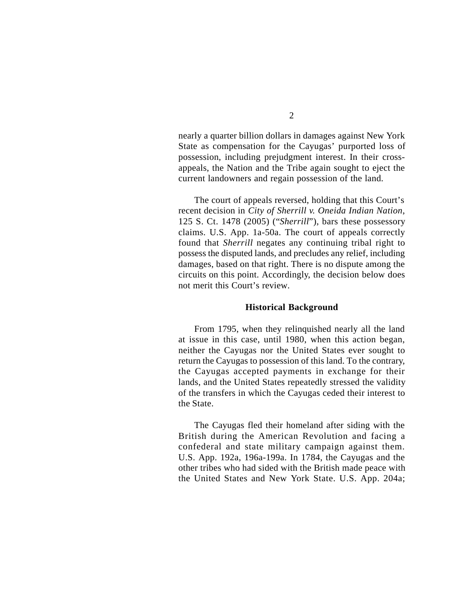nearly a quarter billion dollars in damages against New York State as compensation for the Cayugas' purported loss of possession, including prejudgment interest. In their crossappeals, the Nation and the Tribe again sought to eject the current landowners and regain possession of the land.

The court of appeals reversed, holding that this Court's recent decision in *City of Sherrill v. Oneida Indian Nation*, 125 S. Ct. 1478 (2005) ("*Sherrill*"), bars these possessory claims. U.S. App. 1a-50a. The court of appeals correctly found that *Sherrill* negates any continuing tribal right to possess the disputed lands, and precludes any relief, including damages, based on that right. There is no dispute among the circuits on this point. Accordingly, the decision below does not merit this Court's review.

#### **Historical Background**

From 1795, when they relinquished nearly all the land at issue in this case, until 1980, when this action began, neither the Cayugas nor the United States ever sought to return the Cayugas to possession of this land. To the contrary, the Cayugas accepted payments in exchange for their lands, and the United States repeatedly stressed the validity of the transfers in which the Cayugas ceded their interest to the State.

The Cayugas fled their homeland after siding with the British during the American Revolution and facing a confederal and state military campaign against them. U.S. App. 192a, 196a-199a. In 1784, the Cayugas and the other tribes who had sided with the British made peace with the United States and New York State. U.S. App. 204a;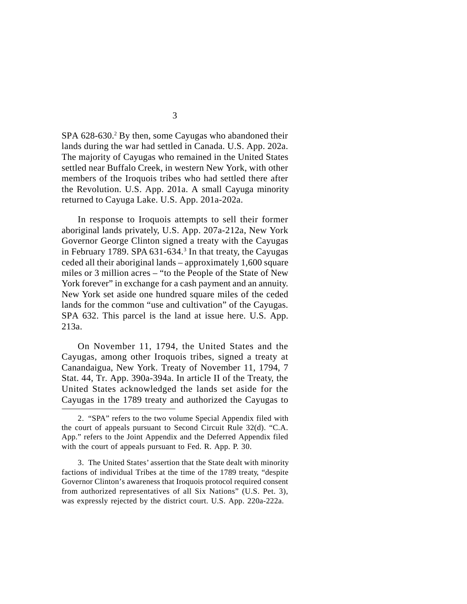SPA 628-630.<sup>2</sup> By then, some Cayugas who abandoned their lands during the war had settled in Canada. U.S. App. 202a. The majority of Cayugas who remained in the United States settled near Buffalo Creek, in western New York, with other members of the Iroquois tribes who had settled there after the Revolution. U.S. App. 201a. A small Cayuga minority returned to Cayuga Lake. U.S. App. 201a-202a.

In response to Iroquois attempts to sell their former aboriginal lands privately, U.S. App. 207a-212a, New York Governor George Clinton signed a treaty with the Cayugas in February 1789. SPA 631-634.<sup>3</sup> In that treaty, the Cayugas ceded all their aboriginal lands – approximately 1,600 square miles or 3 million acres – "to the People of the State of New York forever" in exchange for a cash payment and an annuity. New York set aside one hundred square miles of the ceded lands for the common "use and cultivation" of the Cayugas. SPA 632. This parcel is the land at issue here. U.S. App. 213a.

On November 11, 1794, the United States and the Cayugas, among other Iroquois tribes, signed a treaty at Canandaigua, New York. Treaty of November 11, 1794, 7 Stat. 44, Tr. App. 390a-394a. In article II of the Treaty, the United States acknowledged the lands set aside for the Cayugas in the 1789 treaty and authorized the Cayugas to

<sup>2.</sup> "SPA" refers to the two volume Special Appendix filed with the court of appeals pursuant to Second Circuit Rule 32(d). "C.A. App." refers to the Joint Appendix and the Deferred Appendix filed with the court of appeals pursuant to Fed. R. App. P. 30.

<sup>3.</sup> The United States' assertion that the State dealt with minority factions of individual Tribes at the time of the 1789 treaty, "despite Governor Clinton's awareness that Iroquois protocol required consent from authorized representatives of all Six Nations" (U.S. Pet. 3), was expressly rejected by the district court. U.S. App. 220a-222a.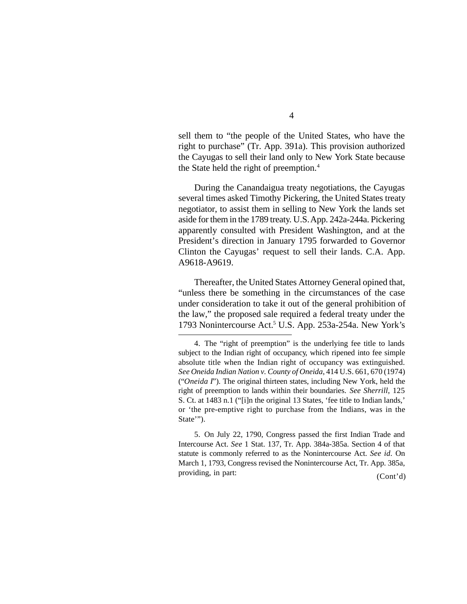sell them to "the people of the United States, who have the right to purchase" (Tr. App. 391a). This provision authorized the Cayugas to sell their land only to New York State because the State held the right of preemption.<sup>4</sup>

During the Canandaigua treaty negotiations, the Cayugas several times asked Timothy Pickering, the United States treaty negotiator, to assist them in selling to New York the lands set aside for them in the 1789 treaty. U.S. App. 242a-244a. Pickering apparently consulted with President Washington, and at the President's direction in January 1795 forwarded to Governor Clinton the Cayugas' request to sell their lands. C.A. App. A9618-A9619.

Thereafter, the United States Attorney General opined that, "unless there be something in the circumstances of the case under consideration to take it out of the general prohibition of the law," the proposed sale required a federal treaty under the 1793 Nonintercourse Act.<sup>5</sup> U.S. App. 253a-254a. New York's

5. On July 22, 1790, Congress passed the first Indian Trade and Intercourse Act. *See* 1 Stat. 137, Tr. App. 384a-385a. Section 4 of that statute is commonly referred to as the Nonintercourse Act. *See id.* On March 1, 1793, Congress revised the Nonintercourse Act, Tr. App. 385a, providing, in part: (Cont'd)

<sup>4.</sup> The "right of preemption" is the underlying fee title to lands subject to the Indian right of occupancy, which ripened into fee simple absolute title when the Indian right of occupancy was extinguished. *See Oneida Indian Nation v. County of Oneida*, 414 U.S. 661, 670 (1974) ("*Oneida I*"). The original thirteen states, including New York, held the right of preemption to lands within their boundaries. *See Sherrill*, 125 S. Ct. at 1483 n.1 ("[i]n the original 13 States, 'fee title to Indian lands,' or 'the pre-emptive right to purchase from the Indians, was in the State'").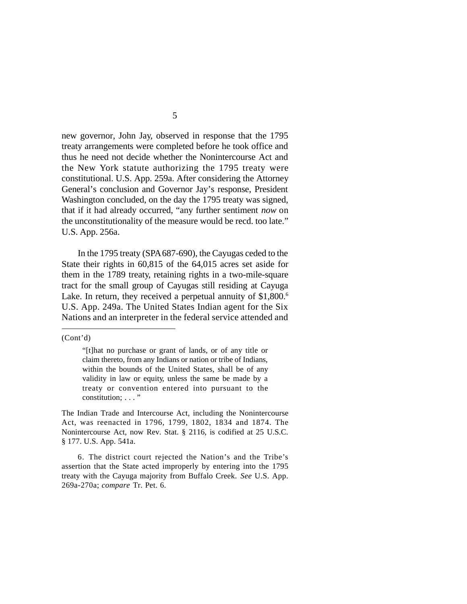new governor, John Jay, observed in response that the 1795 treaty arrangements were completed before he took office and thus he need not decide whether the Nonintercourse Act and the New York statute authorizing the 1795 treaty were constitutional. U.S. App. 259a. After considering the Attorney General's conclusion and Governor Jay's response, President Washington concluded, on the day the 1795 treaty was signed, that if it had already occurred, "any further sentiment *now* on the unconstitutionality of the measure would be recd. too late." U.S. App. 256a.

In the 1795 treaty (SPA 687-690), the Cayugas ceded to the State their rights in 60,815 of the 64,015 acres set aside for them in the 1789 treaty, retaining rights in a two-mile-square tract for the small group of Cayugas still residing at Cayuga Lake. In return, they received a perpetual annuity of \$1,800.<sup>6</sup> U.S. App. 249a. The United States Indian agent for the Six Nations and an interpreter in the federal service attended and

(Cont'd)

<sup>&</sup>quot;[t]hat no purchase or grant of lands, or of any title or claim thereto, from any Indians or nation or tribe of Indians, within the bounds of the United States, shall be of any validity in law or equity, unless the same be made by a treaty or convention entered into pursuant to the constitution; ..."

The Indian Trade and Intercourse Act, including the Nonintercourse Act, was reenacted in 1796, 1799, 1802, 1834 and 1874. The Nonintercourse Act, now Rev. Stat. § 2116, is codified at 25 U.S.C. § 177. U.S. App. 541a.

<sup>6.</sup> The district court rejected the Nation's and the Tribe's assertion that the State acted improperly by entering into the 1795 treaty with the Cayuga majority from Buffalo Creek. *See* U.S. App. 269a-270a; *compare* Tr. Pet. 6.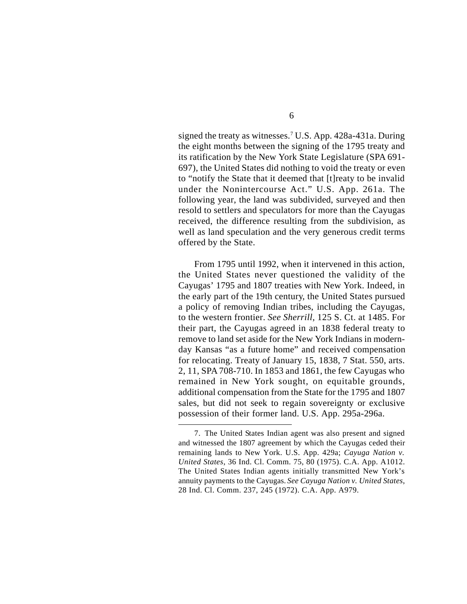signed the treaty as witnesses.<sup>7</sup> U.S. App. 428a-431a. During the eight months between the signing of the 1795 treaty and its ratification by the New York State Legislature (SPA 691- 697), the United States did nothing to void the treaty or even to "notify the State that it deemed that [t]reaty to be invalid under the Nonintercourse Act." U.S. App. 261a. The following year, the land was subdivided, surveyed and then resold to settlers and speculators for more than the Cayugas received, the difference resulting from the subdivision, as well as land speculation and the very generous credit terms offered by the State.

From 1795 until 1992, when it intervened in this action, the United States never questioned the validity of the Cayugas' 1795 and 1807 treaties with New York. Indeed, in the early part of the 19th century, the United States pursued a policy of removing Indian tribes, including the Cayugas, to the western frontier. *See Sherrill*, 125 S. Ct. at 1485. For their part, the Cayugas agreed in an 1838 federal treaty to remove to land set aside for the New York Indians in modernday Kansas "as a future home" and received compensation for relocating. Treaty of January 15, 1838, 7 Stat. 550, arts. 2, 11, SPA 708-710. In 1853 and 1861, the few Cayugas who remained in New York sought, on equitable grounds, additional compensation from the State for the 1795 and 1807 sales, but did not seek to regain sovereignty or exclusive possession of their former land. U.S. App. 295a-296a.

<sup>7.</sup> The United States Indian agent was also present and signed and witnessed the 1807 agreement by which the Cayugas ceded their remaining lands to New York. U.S. App. 429a; *Cayuga Nation v. United States*, 36 Ind. Cl. Comm. 75, 80 (1975). C.A. App. A1012. The United States Indian agents initially transmitted New York's annuity payments to the Cayugas. *See Cayuga Nation v. United States*, 28 Ind. Cl. Comm. 237, 245 (1972). C.A. App. A979.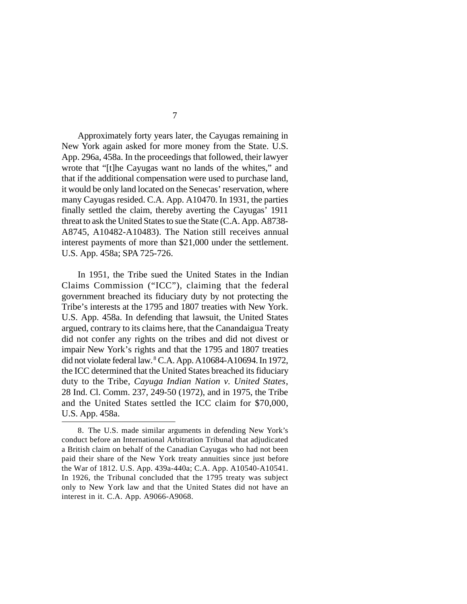Approximately forty years later, the Cayugas remaining in New York again asked for more money from the State. U.S. App. 296a, 458a. In the proceedings that followed, their lawyer wrote that "[t]he Cayugas want no lands of the whites," and that if the additional compensation were used to purchase land, it would be only land located on the Senecas' reservation, where many Cayugas resided. C.A. App. A10470. In 1931, the parties finally settled the claim, thereby averting the Cayugas' 1911 threat to ask the United States to sue the State (C.A. App. A8738- A8745, A10482-A10483). The Nation still receives annual interest payments of more than \$21,000 under the settlement. U.S. App. 458a; SPA 725-726.

In 1951, the Tribe sued the United States in the Indian Claims Commission ("ICC"), claiming that the federal government breached its fiduciary duty by not protecting the Tribe's interests at the 1795 and 1807 treaties with New York. U.S. App. 458a. In defending that lawsuit, the United States argued, contrary to its claims here, that the Canandaigua Treaty did not confer any rights on the tribes and did not divest or impair New York's rights and that the 1795 and 1807 treaties did not violate federal law. <sup>8</sup> C.A. App. A10684-A10694. In 1972, the ICC determined that the United States breached its fiduciary duty to the Tribe, *Cayuga Indian Nation v. United States*, 28 Ind. Cl. Comm. 237, 249-50 (1972), and in 1975, the Tribe and the United States settled the ICC claim for \$70,000, U.S. App. 458a.

<sup>8.</sup> The U.S. made similar arguments in defending New York's conduct before an International Arbitration Tribunal that adjudicated a British claim on behalf of the Canadian Cayugas who had not been paid their share of the New York treaty annuities since just before the War of 1812. U.S. App. 439a-440a; C.A. App. A10540-A10541. In 1926, the Tribunal concluded that the 1795 treaty was subject only to New York law and that the United States did not have an interest in it. C.A. App. A9066-A9068.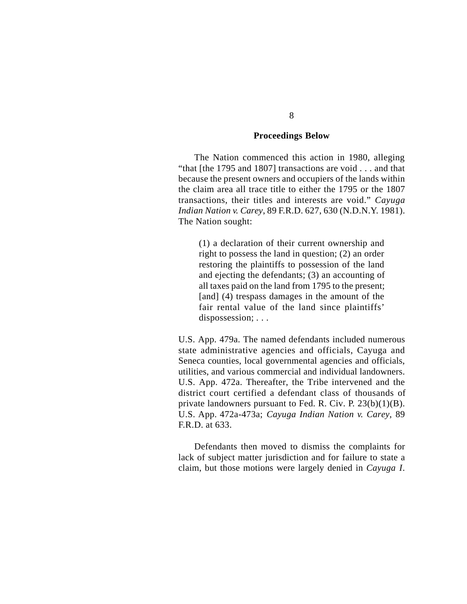#### **Proceedings Below**

The Nation commenced this action in 1980, alleging "that [the 1795 and 1807] transactions are void . . . and that because the present owners and occupiers of the lands within the claim area all trace title to either the 1795 or the 1807 transactions, their titles and interests are void." *Cayuga Indian Nation v. Carey*, 89 F.R.D. 627, 630 (N.D.N.Y. 1981). The Nation sought:

(1) a declaration of their current ownership and right to possess the land in question; (2) an order restoring the plaintiffs to possession of the land and ejecting the defendants; (3) an accounting of all taxes paid on the land from 1795 to the present; [and] (4) trespass damages in the amount of the fair rental value of the land since plaintiffs' dispossession; . . .

U.S. App. 479a. The named defendants included numerous state administrative agencies and officials, Cayuga and Seneca counties, local governmental agencies and officials, utilities, and various commercial and individual landowners. U.S. App. 472a. Thereafter, the Tribe intervened and the district court certified a defendant class of thousands of private landowners pursuant to Fed. R. Civ. P. 23(b)(1)(B). U.S. App. 472a-473a; *Cayuga Indian Nation v. Carey*, 89 F.R.D. at 633.

Defendants then moved to dismiss the complaints for lack of subject matter jurisdiction and for failure to state a claim, but those motions were largely denied in *Cayuga I*.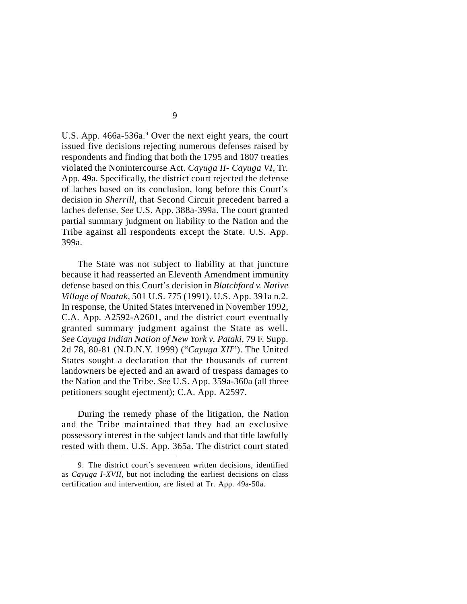U.S. App. 466a-536a.<sup>9</sup> Over the next eight years, the court issued five decisions rejecting numerous defenses raised by respondents and finding that both the 1795 and 1807 treaties violated the Nonintercourse Act. *Cayuga II- Cayuga VI*, Tr. App. 49a. Specifically, the district court rejected the defense of laches based on its conclusion, long before this Court's decision in *Sherrill*, that Second Circuit precedent barred a laches defense. *See* U.S. App. 388a-399a. The court granted partial summary judgment on liability to the Nation and the Tribe against all respondents except the State. U.S. App. 399a.

The State was not subject to liability at that juncture because it had reasserted an Eleventh Amendment immunity defense based on this Court's decision in *Blatchford v. Native Village of Noatak*, 501 U.S. 775 (1991). U.S. App. 391a n.2. In response, the United States intervened in November 1992, C.A. App. A2592-A2601, and the district court eventually granted summary judgment against the State as well. *See Cayuga Indian Nation of New York v. Pataki*, 79 F. Supp. 2d 78, 80-81 (N.D.N.Y. 1999) ("*Cayuga XII*"). The United States sought a declaration that the thousands of current landowners be ejected and an award of trespass damages to the Nation and the Tribe. *See* U.S. App. 359a-360a (all three petitioners sought ejectment); C.A. App. A2597.

During the remedy phase of the litigation, the Nation and the Tribe maintained that they had an exclusive possessory interest in the subject lands and that title lawfully rested with them. U.S. App. 365a. The district court stated

<sup>9.</sup> The district court's seventeen written decisions, identified as *Cayuga I-XVII*, but not including the earliest decisions on class certification and intervention, are listed at Tr. App. 49a-50a.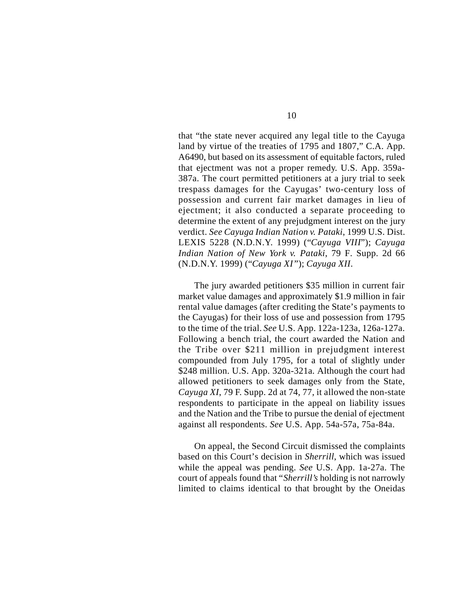that "the state never acquired any legal title to the Cayuga land by virtue of the treaties of 1795 and 1807," C.A. App. A6490, but based on its assessment of equitable factors, ruled that ejectment was not a proper remedy. U.S. App. 359a-387a. The court permitted petitioners at a jury trial to seek trespass damages for the Cayugas' two-century loss of possession and current fair market damages in lieu of ejectment; it also conducted a separate proceeding to determine the extent of any prejudgment interest on the jury verdict. *See Cayuga Indian Nation v. Pataki*, 1999 U.S. Dist. LEXIS 5228 (N.D.N.Y. 1999) ("*Cayuga VIII*"); *Cayuga Indian Nation of New York v. Pataki*, 79 F. Supp. 2d 66 (N.D.N.Y. 1999) ("*Cayuga XI* "); *Cayuga XII*.

The jury awarded petitioners \$35 million in current fair market value damages and approximately \$1.9 million in fair rental value damages (after crediting the State's payments to the Cayugas) for their loss of use and possession from 1795 to the time of the trial. *See* U.S. App. 122a-123a, 126a-127a. Following a bench trial, the court awarded the Nation and the Tribe over \$211 million in prejudgment interest compounded from July 1795, for a total of slightly under \$248 million. U.S. App. 320a-321a. Although the court had allowed petitioners to seek damages only from the State, *Cayuga XI*, 79 F. Supp. 2d at 74, 77, it allowed the non-state respondents to participate in the appeal on liability issues and the Nation and the Tribe to pursue the denial of ejectment against all respondents. *See* U.S. App. 54a-57a, 75a-84a.

On appeal, the Second Circuit dismissed the complaints based on this Court's decision in *Sherrill*, which was issued while the appeal was pending. *See* U.S. App. 1a-27a. The court of appeals found that "*Sherrill's* holding is not narrowly limited to claims identical to that brought by the Oneidas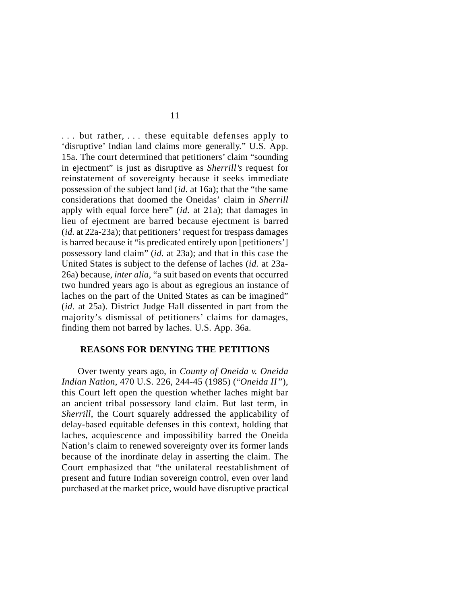. . . but rather, . . . these equitable defenses apply to 'disruptive' Indian land claims more generally." U.S. App. 15a. The court determined that petitioners' claim "sounding in ejectment" is just as disruptive as *Sherrill's* request for reinstatement of sovereignty because it seeks immediate possession of the subject land (*id.* at 16a); that the "the same considerations that doomed the Oneidas' claim in *Sherrill* apply with equal force here" (*id.* at 21a); that damages in lieu of ejectment are barred because ejectment is barred (*id.* at 22a-23a); that petitioners' request for trespass damages is barred because it "is predicated entirely upon [petitioners'] possessory land claim" (*id.* at 23a); and that in this case the United States is subject to the defense of laches (*id.* at 23a-26a) because, *inter alia*, "a suit based on events that occurred two hundred years ago is about as egregious an instance of laches on the part of the United States as can be imagined" (*id.* at 25a). District Judge Hall dissented in part from the majority's dismissal of petitioners' claims for damages, finding them not barred by laches. U.S. App. 36a.

#### **REASONS FOR DENYING THE PETITIONS**

Over twenty years ago, in *County of Oneida v. Oneida Indian Nation*, 470 U.S. 226, 244-45 (1985) ("*Oneida II* "), this Court left open the question whether laches might bar an ancient tribal possessory land claim. But last term, in *Sherrill*, the Court squarely addressed the applicability of delay-based equitable defenses in this context, holding that laches, acquiescence and impossibility barred the Oneida Nation's claim to renewed sovereignty over its former lands because of the inordinate delay in asserting the claim. The Court emphasized that "the unilateral reestablishment of present and future Indian sovereign control, even over land purchased at the market price, would have disruptive practical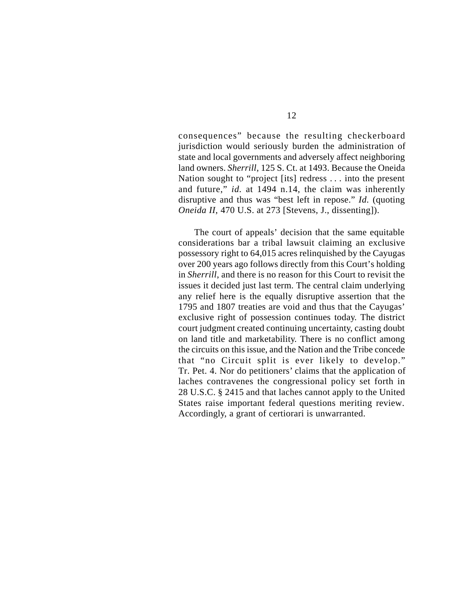consequences" because the resulting checkerboard jurisdiction would seriously burden the administration of state and local governments and adversely affect neighboring land owners. *Sherrill*, 125 S. Ct. at 1493. Because the Oneida Nation sought to "project [its] redress . . . into the present and future," *id.* at 1494 n.14, the claim was inherently disruptive and thus was "best left in repose." *Id.* (quoting *Oneida II*, 470 U.S. at 273 [Stevens, J., dissenting]).

The court of appeals' decision that the same equitable considerations bar a tribal lawsuit claiming an exclusive possessory right to 64,015 acres relinquished by the Cayugas over 200 years ago follows directly from this Court's holding in *Sherrill*, and there is no reason for this Court to revisit the issues it decided just last term. The central claim underlying any relief here is the equally disruptive assertion that the 1795 and 1807 treaties are void and thus that the Cayugas' exclusive right of possession continues today. The district court judgment created continuing uncertainty, casting doubt on land title and marketability. There is no conflict among the circuits on this issue, and the Nation and the Tribe concede that "no Circuit split is ever likely to develop." Tr. Pet. 4. Nor do petitioners' claims that the application of laches contravenes the congressional policy set forth in 28 U.S.C. § 2415 and that laches cannot apply to the United States raise important federal questions meriting review. Accordingly, a grant of certiorari is unwarranted.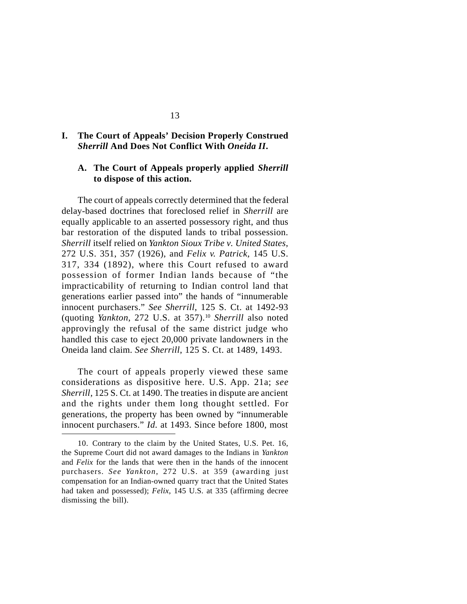### **I. The Court of Appeals' Decision Properly Construed** *Sherrill* **And Does Not Conflict With** *Oneida II***.**

### **A. The Court of Appeals properly applied** *Sherrill* **to dispose of this action.**

The court of appeals correctly determined that the federal delay-based doctrines that foreclosed relief in *Sherrill* are equally applicable to an asserted possessory right, and thus bar restoration of the disputed lands to tribal possession. *Sherrill* itself relied on *Yankton Sioux Tribe v. United States*, 272 U.S. 351, 357 (1926), and *Felix v. Patrick*, 145 U.S. 317, 334 (1892), where this Court refused to award possession of former Indian lands because of "the impracticability of returning to Indian control land that generations earlier passed into" the hands of "innumerable innocent purchasers." *See Sherrill*, 125 S. Ct. at 1492-93 (quoting *Yankton*, 272 U.S. at 357).<sup>10</sup> *Sherrill* also noted approvingly the refusal of the same district judge who handled this case to eject 20,000 private landowners in the Oneida land claim. *See Sherrill*, 125 S. Ct. at 1489, 1493.

The court of appeals properly viewed these same considerations as dispositive here. U.S. App. 21a; *see Sherrill*, 125 S. Ct. at 1490. The treaties in dispute are ancient and the rights under them long thought settled. For generations, the property has been owned by "innumerable innocent purchasers." *Id.* at 1493. Since before 1800, most

<sup>10.</sup> Contrary to the claim by the United States, U.S. Pet. 16, the Supreme Court did not award damages to the Indians in *Yankton* and *Felix* for the lands that were then in the hands of the innocent purchasers. *See Yankton*, 272 U.S. at 359 (awarding just compensation for an Indian-owned quarry tract that the United States had taken and possessed); *Felix*, 145 U.S. at 335 (affirming decree dismissing the bill).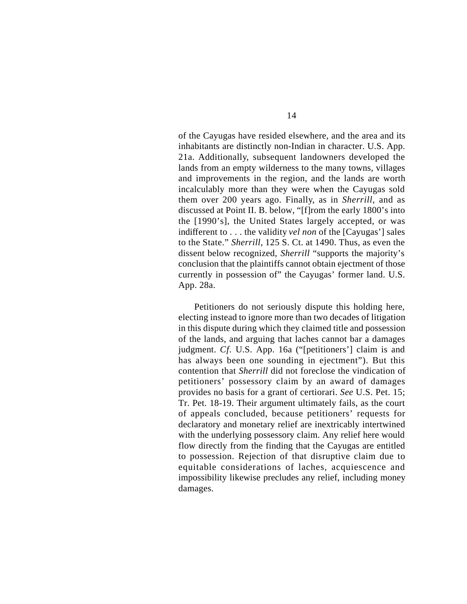of the Cayugas have resided elsewhere, and the area and its inhabitants are distinctly non-Indian in character. U.S. App. 21a. Additionally, subsequent landowners developed the lands from an empty wilderness to the many towns, villages and improvements in the region, and the lands are worth incalculably more than they were when the Cayugas sold them over 200 years ago. Finally, as in *Sherrill*, and as discussed at Point II. B. below, "[f]rom the early 1800's into the [1990's], the United States largely accepted, or was indifferent to . . . the validity *vel non* of the [Cayugas'] sales to the State." *Sherrill*, 125 S. Ct. at 1490. Thus, as even the dissent below recognized, *Sherrill* "supports the majority's conclusion that the plaintiffs cannot obtain ejectment of those currently in possession of" the Cayugas' former land. U.S. App. 28a.

Petitioners do not seriously dispute this holding here, electing instead to ignore more than two decades of litigation in this dispute during which they claimed title and possession of the lands, and arguing that laches cannot bar a damages judgment. *Cf.* U.S. App. 16a ("[petitioners'] claim is and has always been one sounding in ejectment"). But this contention that *Sherrill* did not foreclose the vindication of petitioners' possessory claim by an award of damages provides no basis for a grant of certiorari. *See* U.S. Pet. 15; Tr. Pet. 18-19. Their argument ultimately fails, as the court of appeals concluded, because petitioners' requests for declaratory and monetary relief are inextricably intertwined with the underlying possessory claim. Any relief here would flow directly from the finding that the Cayugas are entitled to possession. Rejection of that disruptive claim due to equitable considerations of laches, acquiescence and impossibility likewise precludes any relief, including money damages.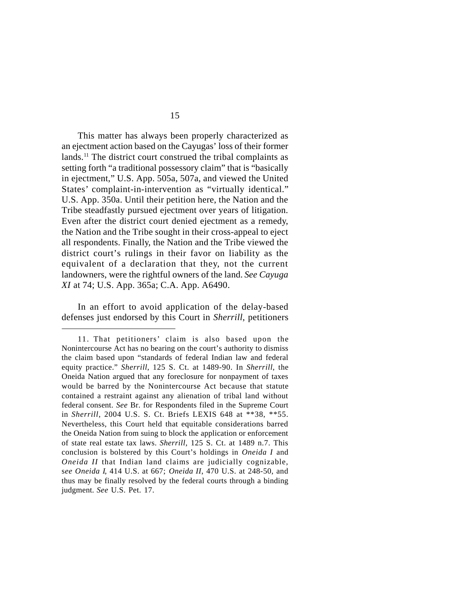This matter has always been properly characterized as an ejectment action based on the Cayugas' loss of their former lands.<sup>11</sup> The district court construed the tribal complaints as setting forth "a traditional possessory claim" that is "basically in ejectment," U.S. App. 505a, 507a, and viewed the United States' complaint-in-intervention as "virtually identical." U.S. App. 350a. Until their petition here, the Nation and the Tribe steadfastly pursued ejectment over years of litigation. Even after the district court denied ejectment as a remedy, the Nation and the Tribe sought in their cross-appeal to eject all respondents. Finally, the Nation and the Tribe viewed the district court's rulings in their favor on liability as the equivalent of a declaration that they, not the current landowners, were the rightful owners of the land. *See Cayuga XI* at 74; U.S. App. 365a; C.A. App. A6490.

In an effort to avoid application of the delay-based defenses just endorsed by this Court in *Sherrill*, petitioners

<sup>11.</sup> That petitioners' claim is also based upon the Nonintercourse Act has no bearing on the court's authority to dismiss the claim based upon "standards of federal Indian law and federal equity practice." *Sherrill*, 125 S. Ct. at 1489-90. In *Sherrill*, the Oneida Nation argued that any foreclosure for nonpayment of taxes would be barred by the Nonintercourse Act because that statute contained a restraint against any alienation of tribal land without federal consent. *See* Br. for Respondents filed in the Supreme Court in *Sherrill*, 2004 U.S. S. Ct. Briefs LEXIS 648 at \*\*38, \*\*55. Nevertheless, this Court held that equitable considerations barred the Oneida Nation from suing to block the application or enforcement of state real estate tax laws. *Sherrill*, 125 S. Ct. at 1489 n.7. This conclusion is bolstered by this Court's holdings in *Oneida I* and *Oneida II* that Indian land claims are judicially cognizable, s*ee Oneida I*, 414 U.S. at 667; *Oneida II*, 470 U.S. at 248-50, and thus may be finally resolved by the federal courts through a binding judgment. *See* U.S. Pet. 17.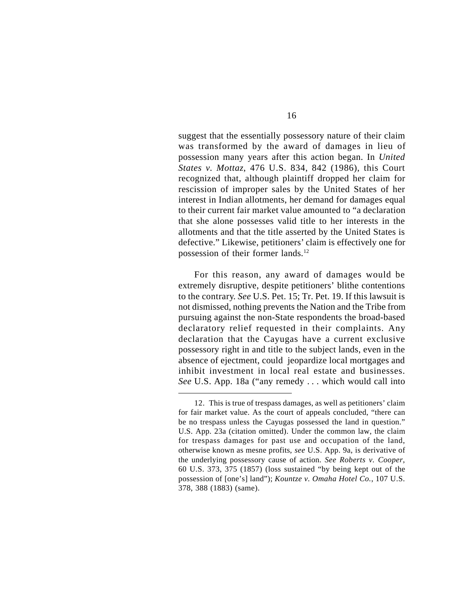suggest that the essentially possessory nature of their claim was transformed by the award of damages in lieu of possession many years after this action began. In *United States v. Mottaz*, 476 U.S. 834, 842 (1986), this Court recognized that, although plaintiff dropped her claim for rescission of improper sales by the United States of her interest in Indian allotments, her demand for damages equal to their current fair market value amounted to "a declaration that she alone possesses valid title to her interests in the allotments and that the title asserted by the United States is defective." Likewise, petitioners' claim is effectively one for possession of their former lands.<sup>12</sup>

For this reason, any award of damages would be extremely disruptive, despite petitioners' blithe contentions to the contrary. *See* U.S. Pet. 15; Tr. Pet. 19. If this lawsuit is not dismissed, nothing prevents the Nation and the Tribe from pursuing against the non-State respondents the broad-based declaratory relief requested in their complaints. Any declaration that the Cayugas have a current exclusive possessory right in and title to the subject lands, even in the absence of ejectment, could jeopardize local mortgages and inhibit investment in local real estate and businesses. *See* U.S. App. 18a ("any remedy . . . which would call into

<sup>12.</sup> This is true of trespass damages, as well as petitioners' claim for fair market value. As the court of appeals concluded, "there can be no trespass unless the Cayugas possessed the land in question." U.S. App. 23a (citation omitted). Under the common law, the claim for trespass damages for past use and occupation of the land, otherwise known as mesne profits, *see* U.S. App. 9a, is derivative of the underlying possessory cause of action. *See Roberts v. Cooper*, 60 U.S. 373, 375 (1857) (loss sustained "by being kept out of the possession of [one's] land"); *Kountze v. Omaha Hotel Co.*, 107 U.S. 378, 388 (1883) (same).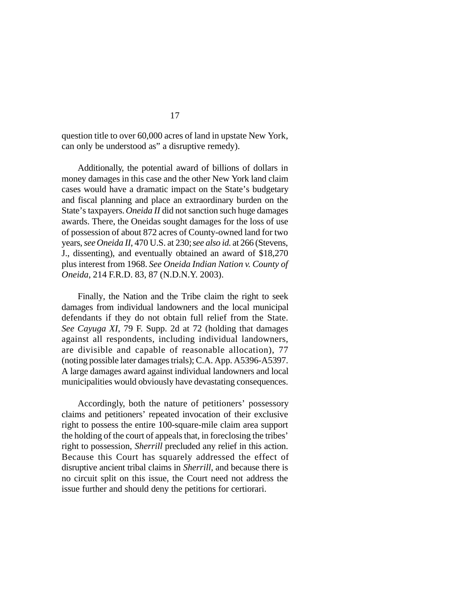question title to over 60,000 acres of land in upstate New York, can only be understood as" a disruptive remedy).

Additionally, the potential award of billions of dollars in money damages in this case and the other New York land claim cases would have a dramatic impact on the State's budgetary and fiscal planning and place an extraordinary burden on the State's taxpayers. *Oneida II* did not sanction such huge damages awards. There, the Oneidas sought damages for the loss of use of possession of about 872 acres of County-owned land for two years, *see Oneida II*, 470 U.S. at 230; *see also id.* at 266 (Stevens, J., dissenting), and eventually obtained an award of \$18,270 plus interest from 1968. *See Oneida Indian Nation v. County of Oneida*, 214 F.R.D. 83, 87 (N.D.N.Y. 2003).

Finally, the Nation and the Tribe claim the right to seek damages from individual landowners and the local municipal defendants if they do not obtain full relief from the State. *See Cayuga XI*, 79 F. Supp. 2d at 72 (holding that damages against all respondents, including individual landowners, are divisible and capable of reasonable allocation), 77 (noting possible later damages trials); C.A. App. A5396-A5397. A large damages award against individual landowners and local municipalities would obviously have devastating consequences.

Accordingly, both the nature of petitioners' possessory claims and petitioners' repeated invocation of their exclusive right to possess the entire 100-square-mile claim area support the holding of the court of appeals that, in foreclosing the tribes' right to possession, *Sherrill* precluded any relief in this action. Because this Court has squarely addressed the effect of disruptive ancient tribal claims in *Sherrill*, and because there is no circuit split on this issue, the Court need not address the issue further and should deny the petitions for certiorari.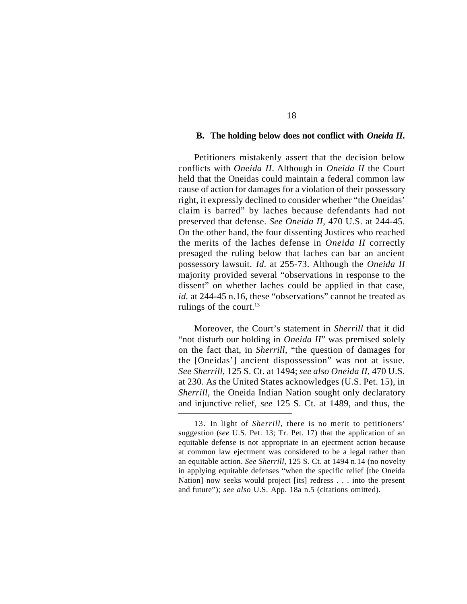#### **B. The holding below does not conflict with** *Oneida II***.**

Petitioners mistakenly assert that the decision below conflicts with *Oneida II*. Although in *Oneida II* the Court held that the Oneidas could maintain a federal common law cause of action for damages for a violation of their possessory right, it expressly declined to consider whether "the Oneidas' claim is barred" by laches because defendants had not preserved that defense. *See Oneida II*, 470 U.S. at 244-45. On the other hand, the four dissenting Justices who reached the merits of the laches defense in *Oneida II* correctly presaged the ruling below that laches can bar an ancient possessory lawsuit. *Id.* at 255-73. Although the *Oneida II* majority provided several "observations in response to the dissent" on whether laches could be applied in that case, *id.* at 244-45 n.16, these "observations" cannot be treated as rulings of the court. $13$ 

Moreover, the Court's statement in *Sherrill* that it did "not disturb our holding in *Oneida II*" was premised solely on the fact that, in *Sherrill*, "the question of damages for the [Oneidas'] ancient dispossession" was not at issue. *See Sherrill*, 125 S. Ct. at 1494; *see also Oneida II*, 470 U.S. at 230. As the United States acknowledges (U.S. Pet. 15), in *Sherrill*, the Oneida Indian Nation sought only declaratory and injunctive relief, *see* 125 S. Ct. at 1489, and thus, the

<sup>13.</sup> In light of *Sherrill*, there is no merit to petitioners' suggestion (*see* U.S. Pet. 13; Tr. Pet. 17) that the application of an equitable defense is not appropriate in an ejectment action because at common law ejectment was considered to be a legal rather than an equitable action. *See Sherrill*, 125 S. Ct. at 1494 n.14 (no novelty in applying equitable defenses "when the specific relief [the Oneida Nation] now seeks would project [its] redress . . . into the present and future"); *see also* U.S. App. 18a n.5 (citations omitted).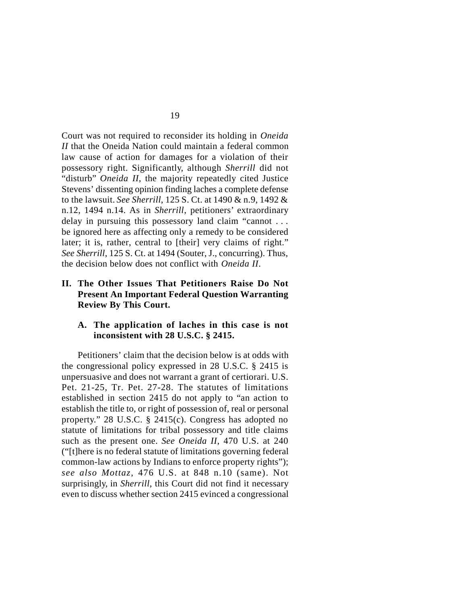Court was not required to reconsider its holding in *Oneida II* that the Oneida Nation could maintain a federal common law cause of action for damages for a violation of their possessory right. Significantly, although *Sherrill* did not "disturb" *Oneida II*, the majority repeatedly cited Justice Stevens' dissenting opinion finding laches a complete defense to the lawsuit. *See Sherrill*, 125 S. Ct. at 1490 & n.9, 1492 & n.12, 1494 n.14. As in *Sherrill*, petitioners' extraordinary delay in pursuing this possessory land claim "cannot . . . be ignored here as affecting only a remedy to be considered later; it is, rather, central to [their] very claims of right." *See Sherrill*, 125 S. Ct. at 1494 (Souter, J., concurring). Thus, the decision below does not conflict with *Oneida II*.

### **II. The Other Issues That Petitioners Raise Do Not Present An Important Federal Question Warranting Review By This Court.**

### **A. The application of laches in this case is not inconsistent with 28 U.S.C. § 2415.**

Petitioners' claim that the decision below is at odds with the congressional policy expressed in 28 U.S.C. § 2415 is unpersuasive and does not warrant a grant of certiorari. U.S. Pet. 21-25, Tr. Pet. 27-28. The statutes of limitations established in section 2415 do not apply to "an action to establish the title to, or right of possession of, real or personal property." 28 U.S.C. § 2415(c). Congress has adopted no statute of limitations for tribal possessory and title claims such as the present one. *See Oneida II*, 470 U.S. at 240 ("[t]here is no federal statute of limitations governing federal common-law actions by Indians to enforce property rights"); *see also Mottaz*, 476 U.S. at 848 n.10 (same). Not surprisingly, in *Sherrill*, this Court did not find it necessary even to discuss whether section 2415 evinced a congressional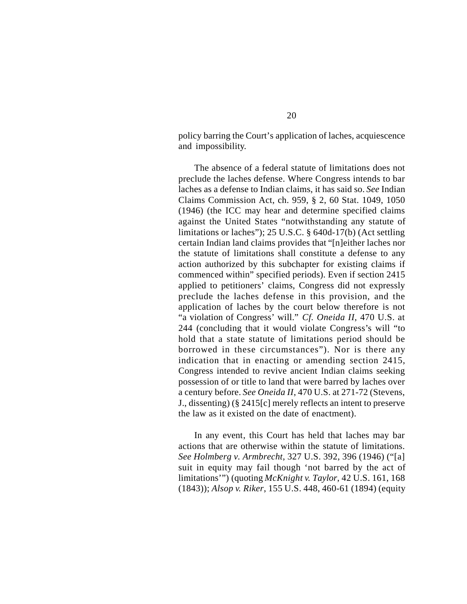policy barring the Court's application of laches, acquiescence and impossibility.

The absence of a federal statute of limitations does not preclude the laches defense. Where Congress intends to bar laches as a defense to Indian claims, it has said so. *See* Indian Claims Commission Act, ch. 959, § 2, 60 Stat. 1049, 1050 (1946) (the ICC may hear and determine specified claims against the United States "notwithstanding any statute of limitations or laches"); 25 U.S.C. § 640d-17(b) (Act settling certain Indian land claims provides that "[n]either laches nor the statute of limitations shall constitute a defense to any action authorized by this subchapter for existing claims if commenced within" specified periods). Even if section 2415 applied to petitioners' claims, Congress did not expressly preclude the laches defense in this provision, and the application of laches by the court below therefore is not "a violation of Congress' will." *Cf. Oneida II*, 470 U.S. at 244 (concluding that it would violate Congress's will "to hold that a state statute of limitations period should be borrowed in these circumstances"). Nor is there any indication that in enacting or amending section 2415, Congress intended to revive ancient Indian claims seeking possession of or title to land that were barred by laches over a century before. *See Oneida II*, 470 U.S. at 271-72 (Stevens, J., dissenting) (§ 2415[c] merely reflects an intent to preserve the law as it existed on the date of enactment).

In any event, this Court has held that laches may bar actions that are otherwise within the statute of limitations. *See Holmberg v. Armbrecht*, 327 U.S. 392, 396 (1946) ("[a] suit in equity may fail though 'not barred by the act of limitations'") (quoting *McKnight v. Taylor*, 42 U.S. 161, 168 (1843)); *Alsop v. Riker*, 155 U.S. 448, 460-61 (1894) (equity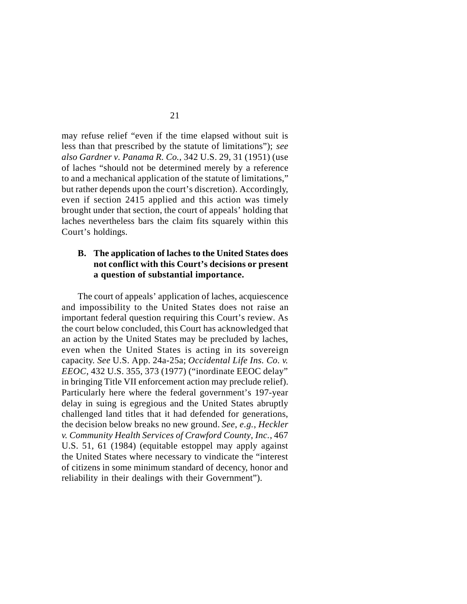may refuse relief "even if the time elapsed without suit is less than that prescribed by the statute of limitations"); *see also Gardner v. Panama R. Co.*, 342 U.S. 29, 31 (1951) (use of laches "should not be determined merely by a reference to and a mechanical application of the statute of limitations," but rather depends upon the court's discretion). Accordingly, even if section 2415 applied and this action was timely brought under that section, the court of appeals' holding that laches nevertheless bars the claim fits squarely within this Court's holdings.

### **B. The application of laches to the United States does not conflict with this Court's decisions or present a question of substantial importance.**

The court of appeals' application of laches, acquiescence and impossibility to the United States does not raise an important federal question requiring this Court's review. As the court below concluded, this Court has acknowledged that an action by the United States may be precluded by laches, even when the United States is acting in its sovereign capacity. *See* U.S. App. 24a-25a; *Occidental Life Ins. Co. v. EEOC*, 432 U.S. 355, 373 (1977) ("inordinate EEOC delay" in bringing Title VII enforcement action may preclude relief). Particularly here where the federal government's 197-year delay in suing is egregious and the United States abruptly challenged land titles that it had defended for generations, the decision below breaks no new ground. *See*, *e.g.*, *Heckler v. Community Health Services of Crawford County*, *Inc.*, 467 U.S. 51, 61 (1984) (equitable estoppel may apply against the United States where necessary to vindicate the "interest of citizens in some minimum standard of decency, honor and reliability in their dealings with their Government").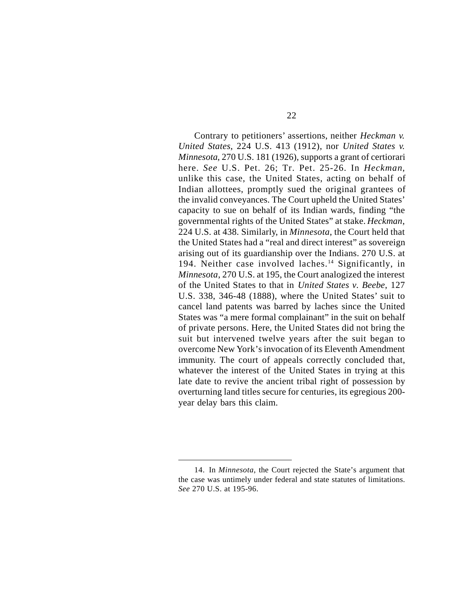Contrary to petitioners' assertions, neither *Heckman v. United States*, 224 U.S. 413 (1912), nor *United States v. Minnesota*, 270 U.S. 181 (1926), supports a grant of certiorari here. *See* U.S. Pet. 26; Tr. Pet. 25-26. In *Heckman*, unlike this case, the United States, acting on behalf of Indian allottees, promptly sued the original grantees of the invalid conveyances. The Court upheld the United States' capacity to sue on behalf of its Indian wards, finding "the governmental rights of the United States" at stake. *Heckman*, 224 U.S. at 438. Similarly, in *Minnesota*, the Court held that the United States had a "real and direct interest" as sovereign arising out of its guardianship over the Indians. 270 U.S. at 194. Neither case involved laches.<sup>14</sup> Significantly, in *Minnesota*, 270 U.S. at 195, the Court analogized the interest of the United States to that in *United States v. Beebe*, 127 U.S. 338, 346-48 (1888), where the United States' suit to cancel land patents was barred by laches since the United States was "a mere formal complainant" in the suit on behalf of private persons. Here, the United States did not bring the suit but intervened twelve years after the suit began to overcome New York's invocation of its Eleventh Amendment immunity. The court of appeals correctly concluded that, whatever the interest of the United States in trying at this late date to revive the ancient tribal right of possession by overturning land titles secure for centuries, its egregious 200 year delay bars this claim.

<sup>14.</sup> In *Minnesota*, the Court rejected the State's argument that the case was untimely under federal and state statutes of limitations. *See* 270 U.S. at 195-96.